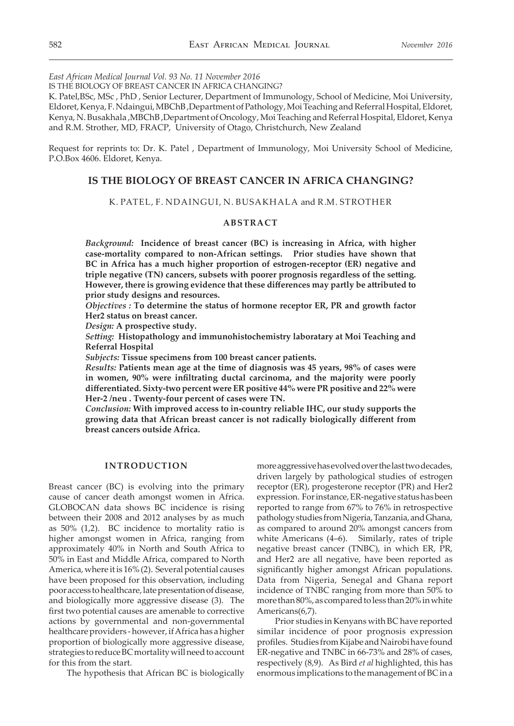*East African Medical Journal Vol. 93 No. 11 November 2016*

IS THE BIOLOGY OF BREAST CANCER IN AFRICA CHANGING?

K. Patel,BSc, MSc , PhD , Senior Lecturer, Department of Immunology, School of Medicine, Moi University, Eldoret, Kenya, F. Ndaingui, MBChB ,Department of Pathology, Moi Teaching and Referral Hospital, Eldoret, Kenya, N. Busakhala ,MBChB ,Department of Oncology, Moi Teaching and Referral Hospital, Eldoret, Kenya and R.M. Strother, MD, FRACP, University of Otago, Christchurch, New Zealand

Request for reprints to: Dr. K. Patel , Department of Immunology, Moi University School of Medicine, P.O.Box 4606. Eldoret, Kenya.

# **IS THE BIOLOGY OF BREAST CANCER IN AFRICA CHANGING?**

### K. PATEL, F. NDAINGUI, N. BUSAKHALA and R.M. STROTHER

# **ABSTRACT**

*Background:* **Incidence of breast cancer (BC) is increasing in Africa, with higher case-mortality compared to non-African settings. Prior studies have shown that BC in Africa has a much higher proportion of estrogen-receptor (ER) negative and triple negative (TN) cancers, subsets with poorer prognosis regardless of the setting. However, there is growing evidence that these differences may partly be attributed to prior study designs and resources.**

*Objectives :* **To determine the status of hormone receptor ER, PR and growth factor Her2 status on breast cancer.**

*Design:* **A prospective study.**

*Setting:* **Histopathology and immunohistochemistry laboratary at Moi Teaching and Referral Hospital**

*Subjects:* **Tissue specimens from 100 breast cancer patients.**

*Results:* **Patients mean age at the time of diagnosis was 45 years, 98% of cases were in women, 90% were infiltrating ductal carcinoma, and the majority were poorly differentiated. Sixty-two percent were ER positive 44% were PR positive and 22% were Her-2 /neu . Twenty-four percent of cases were TN.**

*Conclusion:* **With improved access to in-country reliable IHC, our study supports the growing data that African breast cancer is not radically biologically different from breast cancers outside Africa.** 

### **INTRODUCTION**

Breast cancer (BC) is evolving into the primary cause of cancer death amongst women in Africa. GLOBOCAN data shows BC incidence is rising between their 2008 and 2012 analyses by as much as 50% (1,2). BC incidence to mortality ratio is higher amongst women in Africa, ranging from approximately 40% in North and South Africa to 50% in East and Middle Africa, compared to North America, where it is 16% (2). Several potential causes have been proposed for this observation, including poor access to healthcare, late presentation of disease, and biologically more aggressive disease (3). The first two potential causes are amenable to corrective actions by governmental and non-governmental healthcare providers - however, if Africa has a higher proportion of biologically more aggressive disease, strategies to reduce BC mortality will need to account for this from the start.

The hypothesis that African BC is biologically

more aggressive has evolved over the last two decades, driven largely by pathological studies of estrogen receptor (ER), progesterone receptor (PR) and Her2 expression. For instance, ER-negative status has been reported to range from 67% to 76% in retrospective pathology studies from Nigeria, Tanzania, and Ghana, as compared to around 20% amongst cancers from white Americans (4–6). Similarly, rates of triple negative breast cancer (TNBC), in which ER, PR, and Her2 are all negative, have been reported as significantly higher amongst African populations. Data from Nigeria, Senegal and Ghana report incidence of TNBC ranging from more than 50% to more than 80%, as compared to less than 20% in white Americans(6,7).

Prior studies in Kenyans with BC have reported similar incidence of poor prognosis expression profiles. Studies from Kijabe and Nairobi have found ER-negative and TNBC in 66-73% and 28% of cases, respectively (8,9). As Bird *et al* highlighted, this has enormous implications to the management of BC in a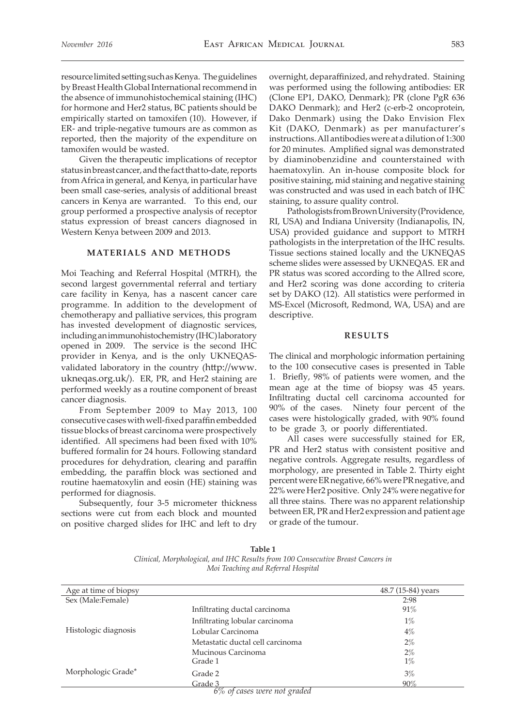resource limited setting such as Kenya. The guidelines by Breast Health Global International recommend in the absence of immunohistochemical staining (IHC) for hormone and Her2 status, BC patients should be empirically started on tamoxifen (10). However, if ER- and triple-negative tumours are as common as reported, then the majority of the expenditure on tamoxifen would be wasted.

Given the therapeutic implications of receptor status in breast cancer, and the fact that to-date, reports from Africa in general, and Kenya, in particular have been small case-series, analysis of additional breast cancers in Kenya are warranted. To this end, our group performed a prospective analysis of receptor status expression of breast cancers diagnosed in Western Kenya between 2009 and 2013.

## **MATERIALS AND METHODS**

Moi Teaching and Referral Hospital (MTRH), the second largest governmental referral and tertiary care facility in Kenya, has a nascent cancer care programme. In addition to the development of chemotherapy and palliative services, this program has invested development of diagnostic services, including an immunohistochemistry (IHC) laboratory opened in 2009. The service is the second IHC provider in Kenya, and is the only UKNEQASvalidated laboratory in the country (http://www. ukneqas.org.uk/). ER, PR, and Her2 staining are performed weekly as a routine component of breast cancer diagnosis.

From September 2009 to May 2013, 100 consecutive cases with well-fixed paraffin embedded tissue blocks of breast carcinoma were prospectively identified. All specimens had been fixed with 10% buffered formalin for 24 hours. Following standard procedures for dehydration, clearing and paraffin embedding, the paraffin block was sectioned and routine haematoxylin and eosin (HE) staining was performed for diagnosis.

Subsequently, four 3-5 micrometer thickness sections were cut from each block and mounted on positive charged slides for IHC and left to dry

overnight, deparaffinized, and rehydrated. Staining was performed using the following antibodies: ER (Clone EP1, DAKO, Denmark); PR (clone PgR 636 DAKO Denmark); and Her2 (c-erb-2 oncoprotein, Dako Denmark) using the Dako Envision Flex Kit (DAKO, Denmark) as per manufacturer's instructions. All antibodies were at a dilution of 1:300 for 20 minutes. Amplified signal was demonstrated by diaminobenzidine and counterstained with haematoxylin. An in-house composite block for positive staining, mid staining and negative staining was constructed and was used in each batch of IHC staining, to assure quality control.

Pathologists from Brown University (Providence, RI, USA) and Indiana University (Indianapolis, IN, USA) provided guidance and support to MTRH pathologists in the interpretation of the IHC results. Tissue sections stained locally and the UKNEQAS scheme slides were assessed by UKNEQAS. ER and PR status was scored according to the Allred score, and Her2 scoring was done according to criteria set by DAKO (12). All statistics were performed in MS-Excel (Microsoft, Redmond, WA, USA) and are descriptive.

## **RESULTS**

The clinical and morphologic information pertaining to the 100 consecutive cases is presented in Table 1. Briefly, 98% of patients were women, and the mean age at the time of biopsy was 45 years. Infiltrating ductal cell carcinoma accounted for 90% of the cases. Ninety four percent of the cases were histologically graded, with 90% found to be grade 3, or poorly differentiated.

All cases were successfully stained for ER, PR and Her2 status with consistent positive and negative controls. Aggregate results, regardless of morphology, are presented in Table 2. Thirty eight percent were ER negative, 66% were PR negative, and 22% were Her2 positive. Only 24% were negative for all three stains. There was no apparent relationship between ER, PR and Her2 expression and patient age or grade of the tumour.

| Age at time of biopsy |                                  | 48.7 (15-84) years |
|-----------------------|----------------------------------|--------------------|
| Sex (Male:Female)     |                                  | 2:98               |
| Histologic diagnosis  | Infiltrating ductal carcinoma    | 91%                |
|                       | Infiltrating lobular carcinoma   | $1\%$              |
|                       | Lobular Carcinoma                | $4\%$              |
|                       | Metastatic ductal cell carcinoma | $2\%$              |
|                       | Mucinous Carcinoma               | $2\%$              |
|                       | Grade 1                          | $1\%$              |
| Morphologic Grade*    | Grade 2                          | 3%                 |
|                       | Grade 3                          | 90%                |

**Table 1** *Clinical, Morphological, and IHC Results from 100 Consecutive Breast Cancers in Moi Teaching and Referral Hospital*

*6% of cases were not graded*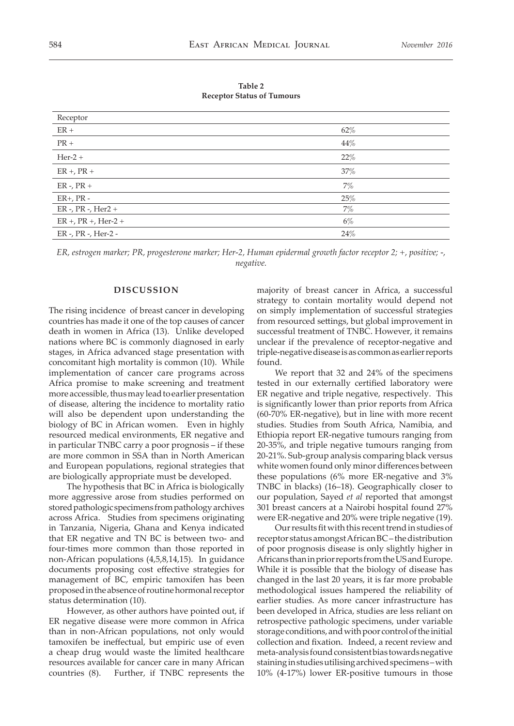**Table 2 Receptor Status of Tumours**

| 62%   |
|-------|
| 44%   |
| 22%   |
| 37%   |
| 7%    |
| 25%   |
| $7\%$ |
| $6\%$ |
| 24%   |
|       |

*ER, estrogen marker; PR, progesterone marker; Her-2, Human epidermal growth factor receptor 2; +, positive; -, negative.*

#### **DISCUSSION**

The rising incidence of breast cancer in developing countries has made it one of the top causes of cancer death in women in Africa (13). Unlike developed nations where BC is commonly diagnosed in early stages, in Africa advanced stage presentation with concomitant high mortality is common (10). While implementation of cancer care programs across Africa promise to make screening and treatment more accessible, thus may lead to earlier presentation of disease, altering the incidence to mortality ratio will also be dependent upon understanding the biology of BC in African women. Even in highly resourced medical environments, ER negative and in particular TNBC carry a poor prognosis – if these are more common in SSA than in North American and European populations, regional strategies that are biologically appropriate must be developed.

The hypothesis that BC in Africa is biologically more aggressive arose from studies performed on stored pathologic specimens from pathology archives across Africa. Studies from specimens originating in Tanzania, Nigeria, Ghana and Kenya indicated that ER negative and TN BC is between two- and four-times more common than those reported in non-African populations (4,5,8,14,15). In guidance documents proposing cost effective strategies for management of BC, empiric tamoxifen has been proposed in the absence of routine hormonal receptor status determination (10).

However, as other authors have pointed out, if ER negative disease were more common in Africa than in non-African populations, not only would tamoxifen be ineffectual, but empiric use of even a cheap drug would waste the limited healthcare resources available for cancer care in many African countries (8). Further, if TNBC represents the majority of breast cancer in Africa, a successful strategy to contain mortality would depend not on simply implementation of successful strategies from resourced settings, but global improvement in successful treatment of TNBC. However, it remains unclear if the prevalence of receptor-negative and triple-negative disease is as common as earlier reports found.

We report that 32 and 24% of the specimens tested in our externally certified laboratory were ER negative and triple negative, respectively. This is significantly lower than prior reports from Africa (60-70% ER-negative), but in line with more recent studies. Studies from South Africa, Namibia, and Ethiopia report ER-negative tumours ranging from 20-35%, and triple negative tumours ranging from 20-21%. Sub-group analysis comparing black versus white women found only minor differences between these populations (6% more ER-negative and 3% TNBC in blacks) (16–18). Geographically closer to our population, Sayed *et al* reported that amongst 301 breast cancers at a Nairobi hospital found 27% were ER-negative and 20% were triple negative (19).

Our results fit with this recent trend in studies of receptor status amongst African BC – the distribution of poor prognosis disease is only slightly higher in Africans than in prior reports from the US and Europe. While it is possible that the biology of disease has changed in the last 20 years, it is far more probable methodological issues hampered the reliability of earlier studies. As more cancer infrastructure has been developed in Africa, studies are less reliant on retrospective pathologic specimens, under variable storage conditions, and with poor control of the initial collection and fixation. Indeed, a recent review and meta-analysis found consistent bias towards negative staining in studies utilising archived specimens – with 10% (4-17%) lower ER-positive tumours in those